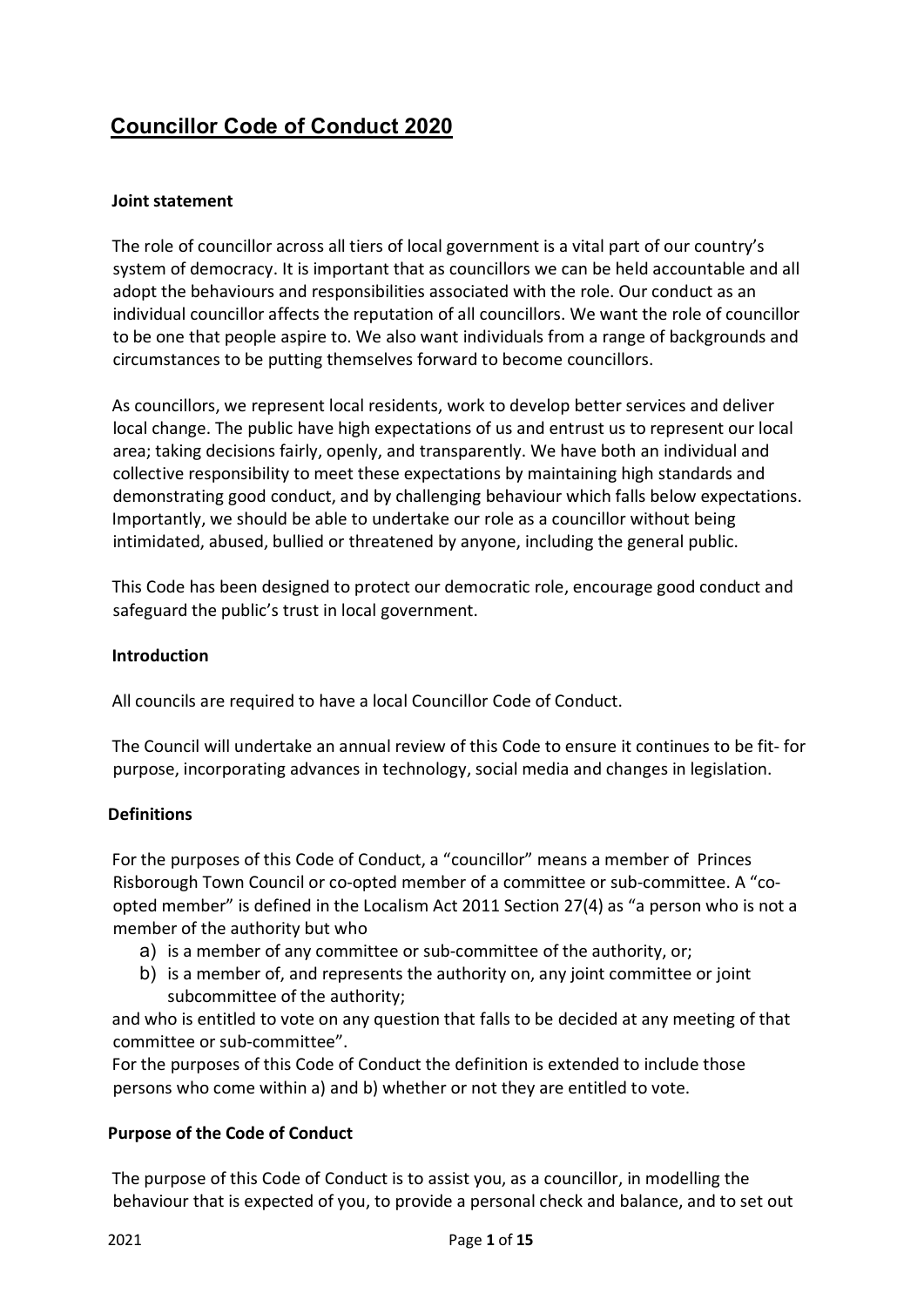# **Councillor Code of Conduct 2020**

## **Joint statement**

The role of councillor across all tiers of local government is a vital part of our country's system of democracy. It is important that as councillors we can be held accountable and all adopt the behaviours and responsibilities associated with the role. Our conduct as an individual councillor affects the reputation of all councillors. We want the role of councillor to be one that people aspire to. We also want individuals from a range of backgrounds and circumstances to be putting themselves forward to become councillors.

As councillors, we represent local residents, work to develop better services and deliver local change. The public have high expectations of us and entrust us to represent our local area; taking decisions fairly, openly, and transparently. We have both an individual and collective responsibility to meet these expectations by maintaining high standards and demonstrating good conduct, and by challenging behaviour which falls below expectations. Importantly, we should be able to undertake our role as a councillor without being intimidated, abused, bullied or threatened by anyone, including the general public.

This Code has been designed to protect our democratic role, encourage good conduct and safeguard the public's trust in local government.

## **Introduction**

All councils are required to have a local Councillor Code of Conduct.

The Council will undertake an annual review of this Code to ensure it continues to be fit- for purpose, incorporating advances in technology, social media and changes in legislation.

## **Definitions**

For the purposes of this Code of Conduct, a "councillor" means a member of Princes Risborough Town Council or co-opted member of a committee or sub-committee. A "coopted member" is defined in the Localism Act 2011 Section 27(4) as "a person who is not a member of the authority but who

- a) is a member of any committee or sub-committee of the authority, or;
- b) is a member of, and represents the authority on, any joint committee or joint subcommittee of the authority;

and who is entitled to vote on any question that falls to be decided at any meeting of that committee or sub-committee".

For the purposes of this Code of Conduct the definition is extended to include those persons who come within a) and b) whether or not they are entitled to vote.

## **Purpose of the Code of Conduct**

The purpose of this Code of Conduct is to assist you, as a councillor, in modelling the behaviour that is expected of you, to provide a personal check and balance, and to set out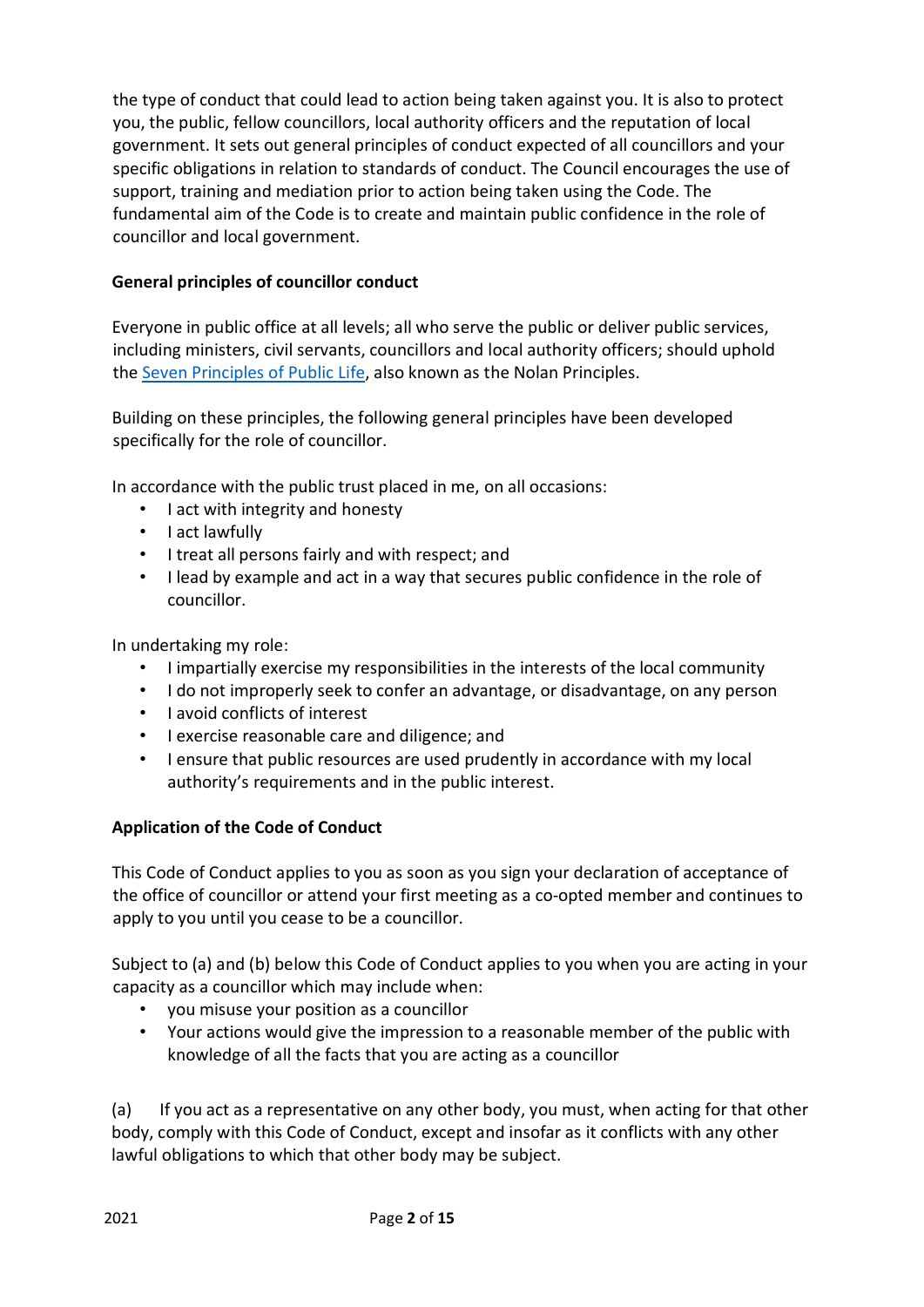the type of conduct that could lead to action being taken against you. It is also to protect you, the public, fellow councillors, local authority officers and the reputation of local government. It sets out general principles of conduct expected of all councillors and your specific obligations in relation to standards of conduct. The Council encourages the use of support, training and mediation prior to action being taken using the Code. The fundamental aim of the Code is to create and maintain public confidence in the role of councillor and local government.

## **General principles of councillor conduct**

Everyone in public office at all levels; all who serve the public or deliver public services, including ministers, civil servants, councillors and local authority officers; should uphold the [Seven](https://www.gov.uk/government/publications/the-7-principles-of-public-life/the-7-principles-of-public-life--2) [Principles](https://www.gov.uk/government/publications/the-7-principles-of-public-life/the-7-principles-of-public-life--2) [of](https://www.gov.uk/government/publications/the-7-principles-of-public-life/the-7-principles-of-public-life--2) [Public](https://www.gov.uk/government/publications/the-7-principles-of-public-life/the-7-principles-of-public-life--2) [Life,](https://www.gov.uk/government/publications/the-7-principles-of-public-life/the-7-principles-of-public-life--2) also known as the Nolan Principles.

Building on these principles, the following general principles have been developed specifically for the role of councillor.

In accordance with the public trust placed in me, on all occasions:

- I act with integrity and honesty
- I act lawfully
- I treat all persons fairly and with respect; and
- I lead by example and act in a way that secures public confidence in the role of councillor.

In undertaking my role:

- I impartially exercise my responsibilities in the interests of the local community
- I do not improperly seek to confer an advantage, or disadvantage, on any person
- I avoid conflicts of interest
- I exercise reasonable care and diligence; and
- I ensure that public resources are used prudently in accordance with my local authority's requirements and in the public interest.

## **Application of the Code of Conduct**

This Code of Conduct applies to you as soon as you sign your declaration of acceptance of the office of councillor or attend your first meeting as a co-opted member and continues to apply to you until you cease to be a councillor.

Subject to (a) and (b) below this Code of Conduct applies to you when you are acting in your capacity as a councillor which may include when:

- you misuse your position as a councillor
- Your actions would give the impression to a reasonable member of the public with knowledge of all the facts that you are acting as a councillor

(a) If you act as a representative on any other body, you must, when acting for that other body, comply with this Code of Conduct, except and insofar as it conflicts with any other lawful obligations to which that other body may be subject.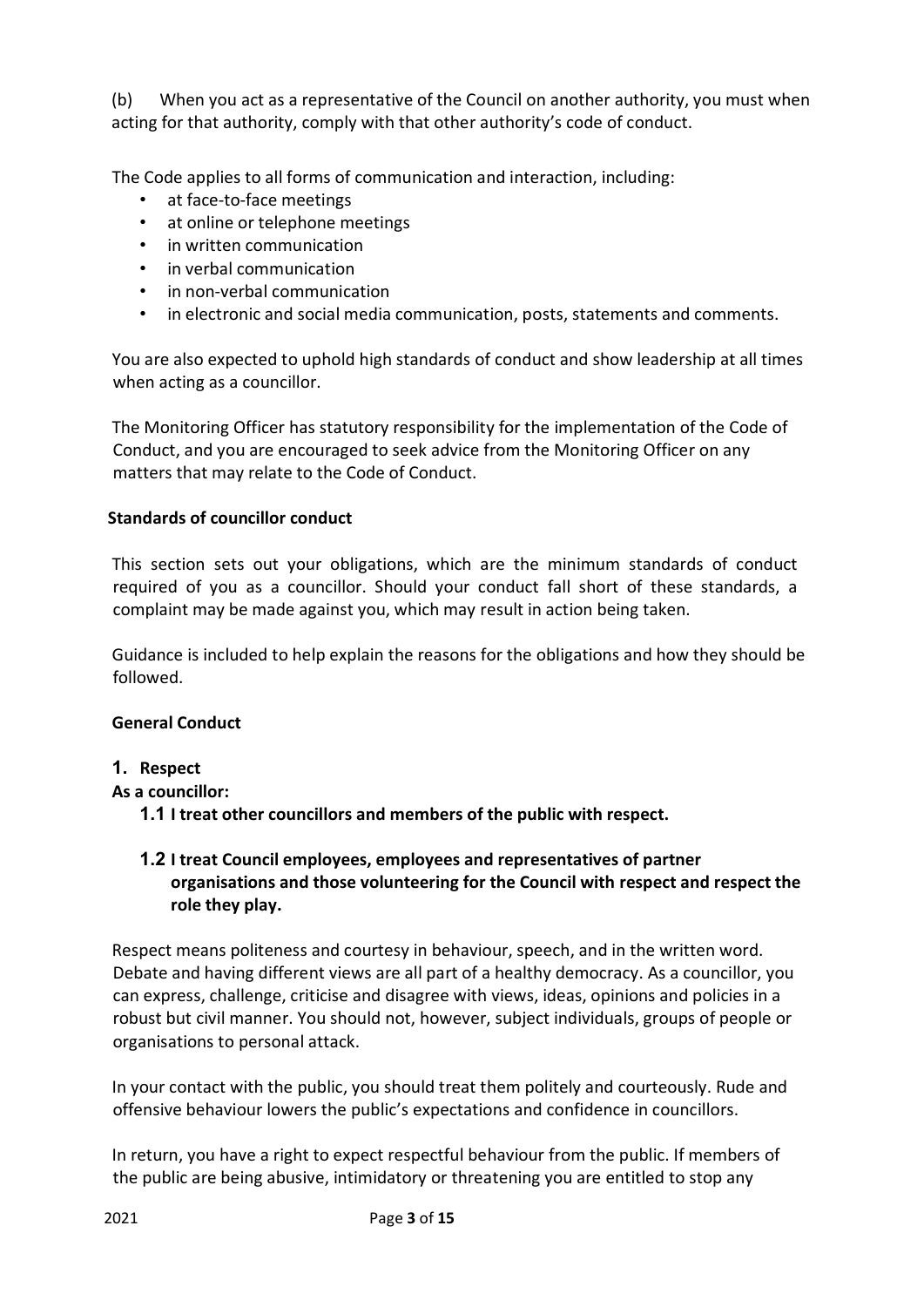(b) When you act as a representative of the Council on another authority, you must when acting for that authority, comply with that other authority's code of conduct.

The Code applies to all forms of communication and interaction, including:

- at face-to-face meetings
- at online or telephone meetings
- in written communication
- in verbal communication
- in non-verbal communication
- in electronic and social media communication, posts, statements and comments.

You are also expected to uphold high standards of conduct and show leadership at all times when acting as a councillor.

The Monitoring Officer has statutory responsibility for the implementation of the Code of Conduct, and you are encouraged to seek advice from the Monitoring Officer on any matters that may relate to the Code of Conduct.

## **Standards of councillor conduct**

This section sets out your obligations, which are the minimum standards of conduct required of you as a councillor. Should your conduct fall short of these standards, a complaint may be made against you, which may result in action being taken.

Guidance is included to help explain the reasons for the obligations and how they should be followed.

## **General Conduct**

## **1. Respect**

**As a councillor:**

**1.1 I treat other councillors and members of the public with respect.**

## **1.2 I treat Council employees, employees and representatives of partner organisations and those volunteering for the Council with respect and respect the role they play.**

Respect means politeness and courtesy in behaviour, speech, and in the written word. Debate and having different views are all part of a healthy democracy. As a councillor, you can express, challenge, criticise and disagree with views, ideas, opinions and policies in a robust but civil manner. You should not, however, subject individuals, groups of people or organisations to personal attack.

In your contact with the public, you should treat them politely and courteously. Rude and offensive behaviour lowers the public's expectations and confidence in councillors.

In return, you have a right to expect respectful behaviour from the public. If members of the public are being abusive, intimidatory or threatening you are entitled to stop any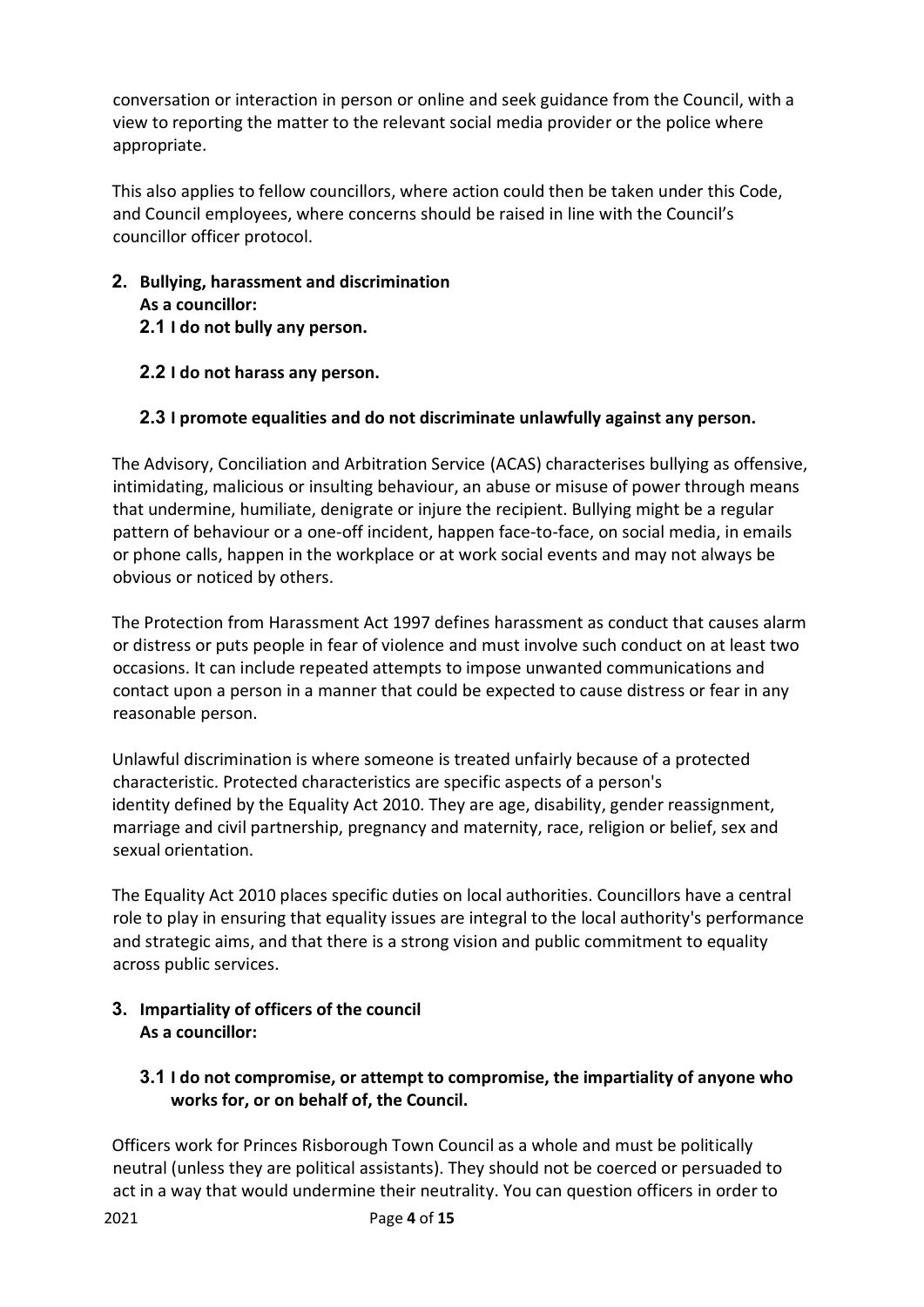conversation or interaction in person or online and seek guidance from the Council, with a view to reporting the matter to the relevant social media provider or the police where appropriate.

This also applies to fellow councillors, where action could then be taken under this Code, and Council employees, where concerns should be raised in line with the Council's councillor officer protocol.

- **2. Bullying, harassment and discrimination As a councillor: 2.1 I do not bully any person.**
	- **2.2 I do not harass any person.**

## **2.3 I promote equalities and do not discriminate unlawfully against any person.**

The Advisory, Conciliation and Arbitration Service (ACAS) characterises bullying as offensive, intimidating, malicious or insulting behaviour, an abuse or misuse of power through means that undermine, humiliate, denigrate or injure the recipient. Bullying might be a regular pattern of behaviour or a one-off incident, happen face-to-face, on social media, in emails or phone calls, happen in the workplace or at work social events and may not always be obvious or noticed by others.

The Protection from Harassment Act 1997 defines harassment as conduct that causes alarm or distress or puts people in fear of violence and must involve such conduct on at least two occasions. It can include repeated attempts to impose unwanted communications and contact upon a person in a manner that could be expected to cause distress or fear in any reasonable person.

Unlawful discrimination is where someone is treated unfairly because of a protected characteristic. Protected characteristics are specific aspects of a person's identity defined by the Equality Act 2010. They are age, disability, gender reassignment, marriage and civil partnership, pregnancy and maternity, race, religion or belief, sex and sexual orientation.

The Equality Act 2010 places specific duties on local authorities. Councillors have a central role to play in ensuring that equality issues are integral to the local authority's performance and strategic aims, and that there is a strong vision and public commitment to equality across public services.

**3. Impartiality of officers of the council As a councillor:** 

## **3.1 I do not compromise, or attempt to compromise, the impartiality of anyone who works for, or on behalf of, the Council.**

Officers work for Princes Risborough Town Council as a whole and must be politically neutral (unless they are political assistants). They should not be coerced or persuaded to act in a way that would undermine their neutrality. You can question officers in order to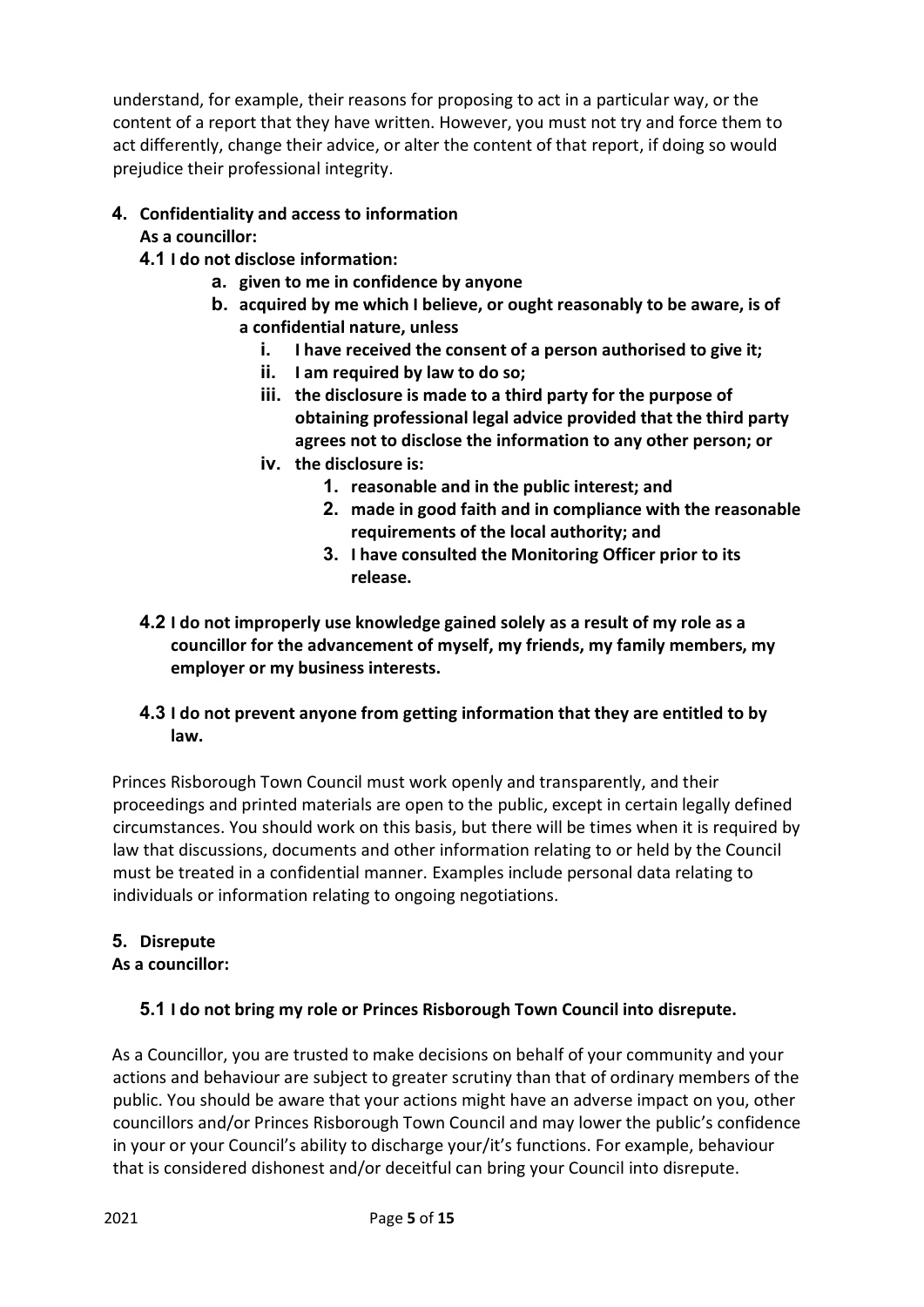understand, for example, their reasons for proposing to act in a particular way, or the content of a report that they have written. However, you must not try and force them to act differently, change their advice, or alter the content of that report, if doing so would prejudice their professional integrity.

# **4. Confidentiality and access to information**

# **As a councillor:**

- **4.1 I do not disclose information:**
	- **a. given to me in confidence by anyone**
	- **b. acquired by me which I believe, or ought reasonably to be aware, is of a confidential nature, unless**
		- **i. I have received the consent of a person authorised to give it;**
		- **ii. I am required by law to do so;**
		- **iii. the disclosure is made to a third party for the purpose of obtaining professional legal advice provided that the third party agrees not to disclose the information to any other person; or**
		- **iv. the disclosure is:**
			- **1. reasonable and in the public interest; and**
			- **2. made in good faith and in compliance with the reasonable requirements of the local authority; and**
			- **3. I have consulted the Monitoring Officer prior to its release.**
- **4.2 I do not improperly use knowledge gained solely as a result of my role as a councillor for the advancement of myself, my friends, my family members, my employer or my business interests.**

# **4.3 I do not prevent anyone from getting information that they are entitled to by law.**

Princes Risborough Town Council must work openly and transparently, and their proceedings and printed materials are open to the public, except in certain legally defined circumstances. You should work on this basis, but there will be times when it is required by law that discussions, documents and other information relating to or held by the Council must be treated in a confidential manner. Examples include personal data relating to individuals or information relating to ongoing negotiations.

# **5. Disrepute**

# **As a councillor:**

# **5.1 I do not bring my role or Princes Risborough Town Council into disrepute.**

As a Councillor, you are trusted to make decisions on behalf of your community and your actions and behaviour are subject to greater scrutiny than that of ordinary members of the public. You should be aware that your actions might have an adverse impact on you, other councillors and/or Princes Risborough Town Council and may lower the public's confidence in your or your Council's ability to discharge your/it's functions. For example, behaviour that is considered dishonest and/or deceitful can bring your Council into disrepute.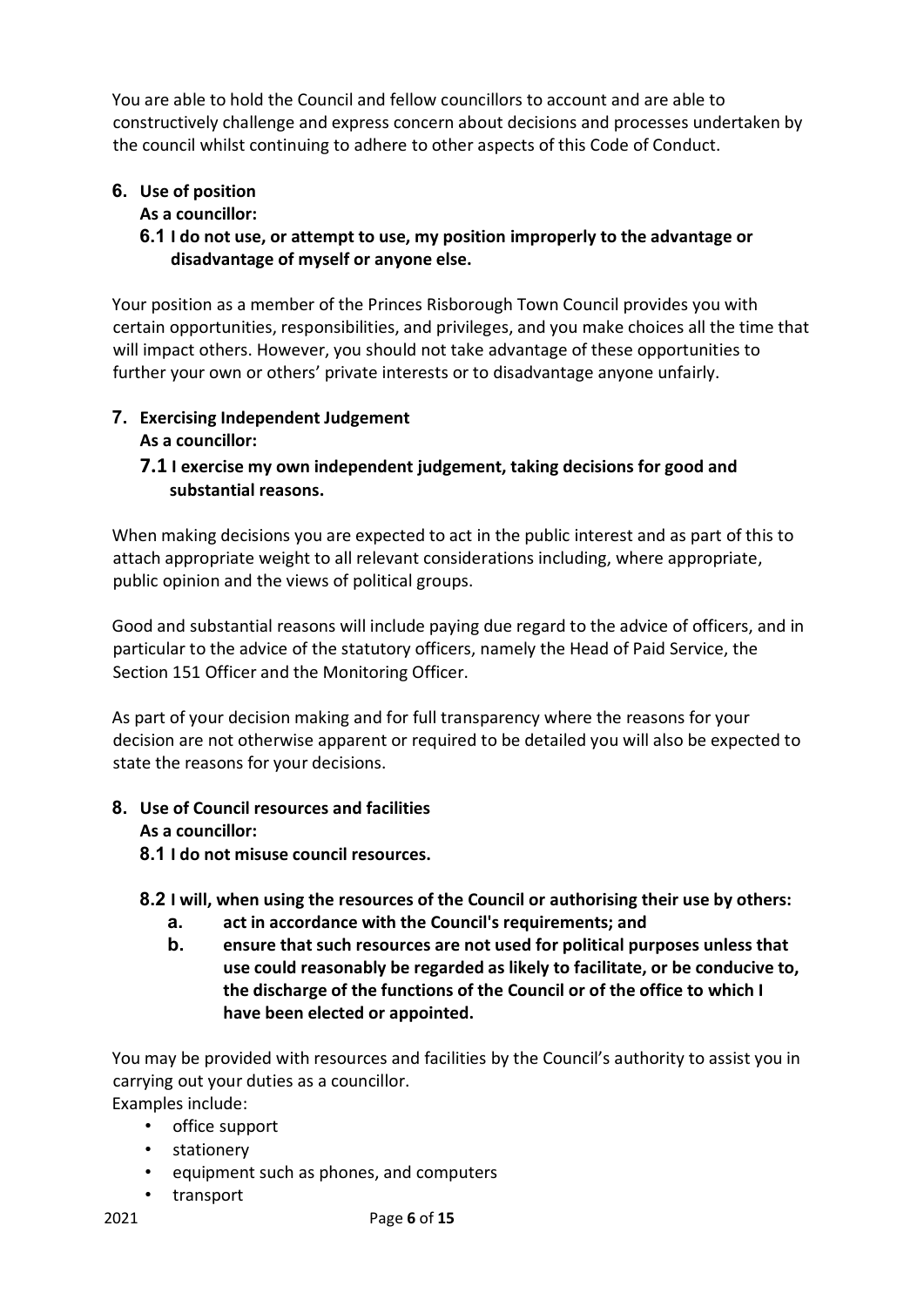You are able to hold the Council and fellow councillors to account and are able to constructively challenge and express concern about decisions and processes undertaken by the council whilst continuing to adhere to other aspects of this Code of Conduct.

# **6. Use of position**

# **As a councillor:**

# **6.1 I do not use, or attempt to use, my position improperly to the advantage or disadvantage of myself or anyone else.**

Your position as a member of the Princes Risborough Town Council provides you with certain opportunities, responsibilities, and privileges, and you make choices all the time that will impact others. However, you should not take advantage of these opportunities to further your own or others' private interests or to disadvantage anyone unfairly.

## **7. Exercising Independent Judgement As a councillor:**

# **7.1 I exercise my own independent judgement, taking decisions for good and substantial reasons.**

When making decisions you are expected to act in the public interest and as part of this to attach appropriate weight to all relevant considerations including, where appropriate, public opinion and the views of political groups.

Good and substantial reasons will include paying due regard to the advice of officers, and in particular to the advice of the statutory officers, namely the Head of Paid Service, the Section 151 Officer and the Monitoring Officer.

As part of your decision making and for full transparency where the reasons for your decision are not otherwise apparent or required to be detailed you will also be expected to state the reasons for your decisions.

#### **8. Use of Council resources and facilities As a councillor:**

**8.1 I do not misuse council resources.**

## **8.2 I will, when using the resources of the Council or authorising their use by others:**

- **a. act in accordance with the Council's requirements; and**
- **b. ensure that such resources are not used for political purposes unless that use could reasonably be regarded as likely to facilitate, or be conducive to, the discharge of the functions of the Council or of the office to which I have been elected or appointed.**

You may be provided with resources and facilities by the Council's authority to assist you in carrying out your duties as a councillor.

Examples include:

- office support
- stationery
- equipment such as phones, and computers
- transport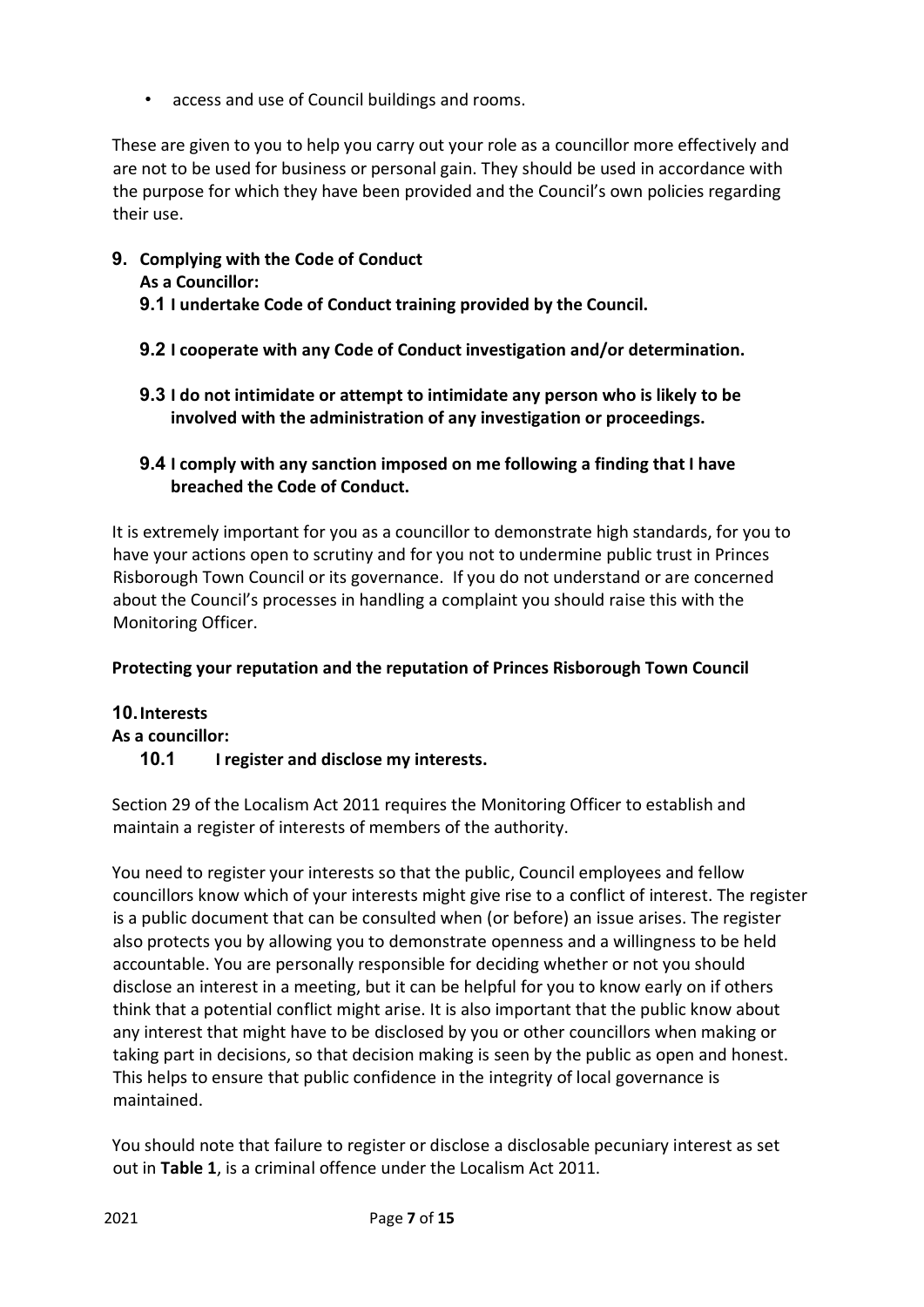• access and use of Council buildings and rooms.

These are given to you to help you carry out your role as a councillor more effectively and are not to be used for business or personal gain. They should be used in accordance with the purpose for which they have been provided and the Council's own policies regarding their use.

- **9. Complying with the Code of Conduct**
	- **As a Councillor:**
	- **9.1 I undertake Code of Conduct training provided by the Council.**
	- **9.2 I cooperate with any Code of Conduct investigation and/or determination.**
	- **9.3 I do not intimidate or attempt to intimidate any person who is likely to be involved with the administration of any investigation or proceedings.**
	- **9.4 I comply with any sanction imposed on me following a finding that I have breached the Code of Conduct.**

It is extremely important for you as a councillor to demonstrate high standards, for you to have your actions open to scrutiny and for you not to undermine public trust in Princes Risborough Town Council or its governance. If you do not understand or are concerned about the Council's processes in handling a complaint you should raise this with the Monitoring Officer.

# **Protecting your reputation and the reputation of Princes Risborough Town Council**

## **10.Interests As a councillor: 10.1 I register and disclose my interests.**

Section 29 of the Localism Act 2011 requires the Monitoring Officer to establish and maintain a register of interests of members of the authority.

You need to register your interests so that the public, Council employees and fellow councillors know which of your interests might give rise to a conflict of interest. The register is a public document that can be consulted when (or before) an issue arises. The register also protects you by allowing you to demonstrate openness and a willingness to be held accountable. You are personally responsible for deciding whether or not you should disclose an interest in a meeting, but it can be helpful for you to know early on if others think that a potential conflict might arise. It is also important that the public know about any interest that might have to be disclosed by you or other councillors when making or taking part in decisions, so that decision making is seen by the public as open and honest. This helps to ensure that public confidence in the integrity of local governance is maintained.

You should note that failure to register or disclose a disclosable pecuniary interest as set out in **Table 1**, is a criminal offence under the Localism Act 2011.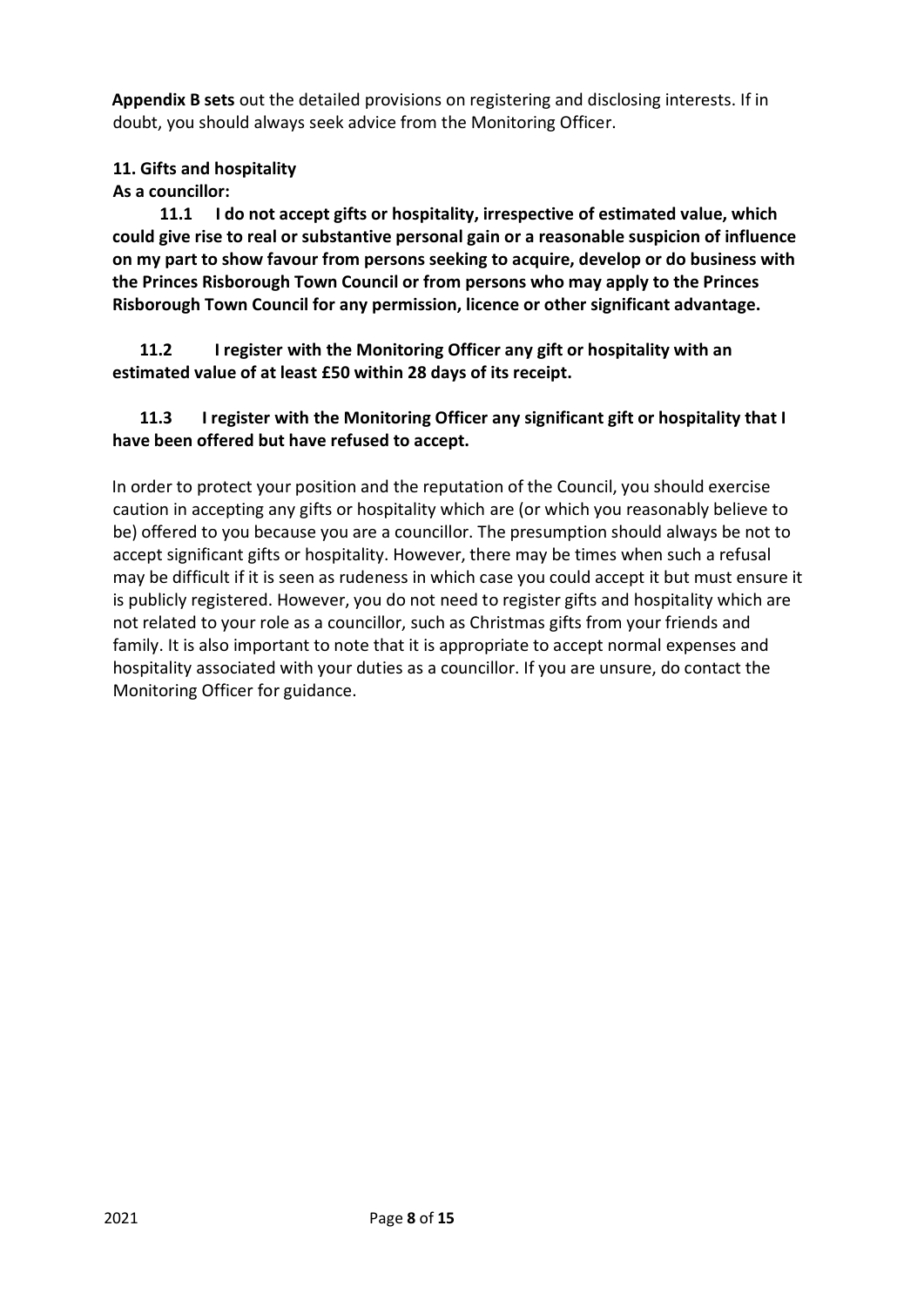**Appendix B sets** out the detailed provisions on registering and disclosing interests. If in doubt, you should always seek advice from the Monitoring Officer.

## **11. Gifts and hospitality**

**As a councillor:**

**11.1 I do not accept gifts or hospitality, irrespective of estimated value, which could give rise to real or substantive personal gain or a reasonable suspicion of influence on my part to show favour from persons seeking to acquire, develop or do business with the Princes Risborough Town Council or from persons who may apply to the Princes Risborough Town Council for any permission, licence or other significant advantage.**

**11.2 I register with the Monitoring Officer any gift or hospitality with an estimated value of at least £50 within 28 days of its receipt.**

## **11.3 I register with the Monitoring Officer any significant gift or hospitality that I have been offered but have refused to accept.**

In order to protect your position and the reputation of the Council, you should exercise caution in accepting any gifts or hospitality which are (or which you reasonably believe to be) offered to you because you are a councillor. The presumption should always be not to accept significant gifts or hospitality. However, there may be times when such a refusal may be difficult if it is seen as rudeness in which case you could accept it but must ensure it is publicly registered. However, you do not need to register gifts and hospitality which are not related to your role as a councillor, such as Christmas gifts from your friends and family. It is also important to note that it is appropriate to accept normal expenses and hospitality associated with your duties as a councillor. If you are unsure, do contact the Monitoring Officer for guidance.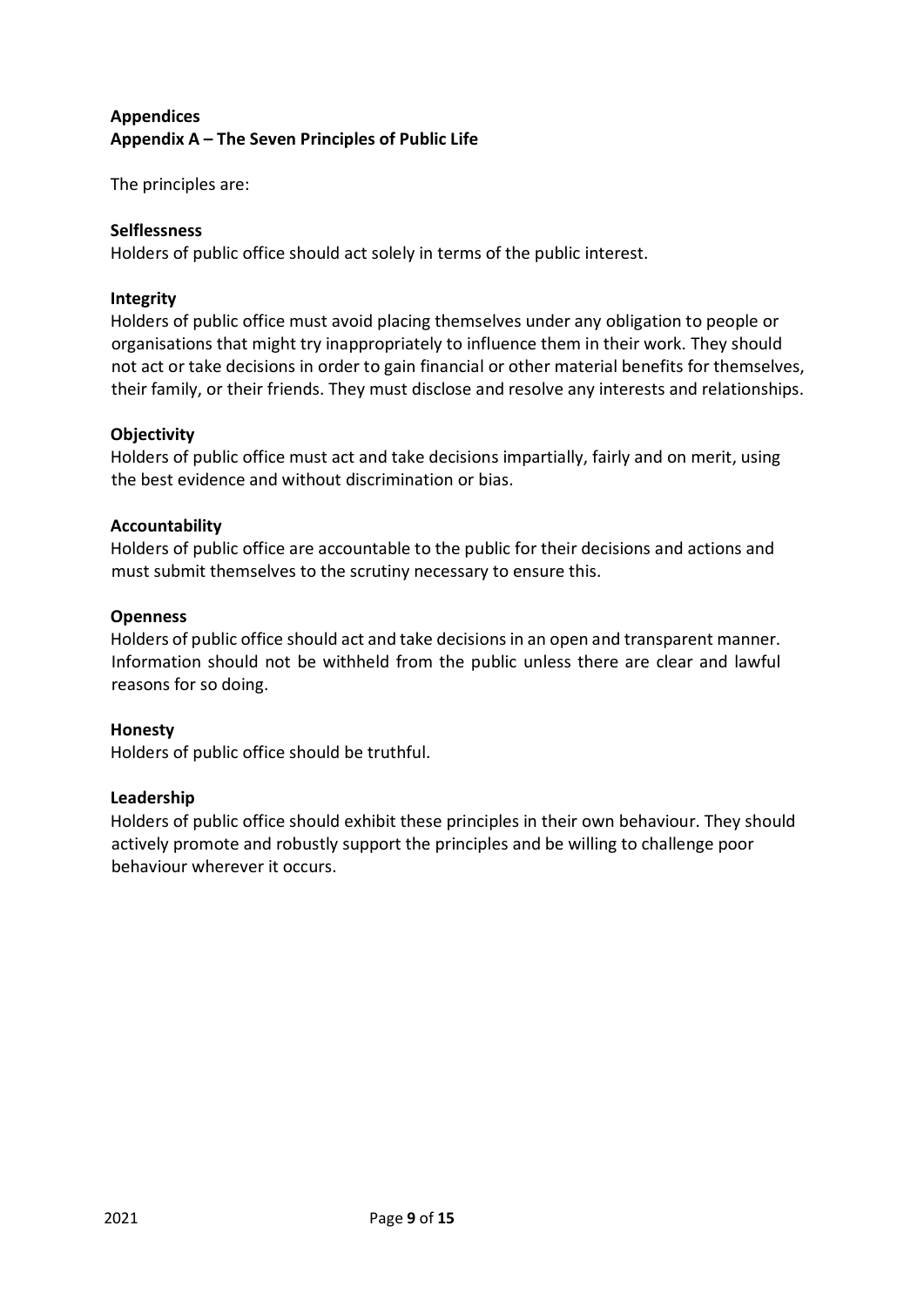# **Appendices Appendix A – The Seven Principles of Public Life**

The principles are:

## **Selflessness**

Holders of public office should act solely in terms of the public interest.

## **Integrity**

Holders of public office must avoid placing themselves under any obligation to people or organisations that might try inappropriately to influence them in their work. They should not act or take decisions in order to gain financial or other material benefits for themselves, their family, or their friends. They must disclose and resolve any interests and relationships.

## **Objectivity**

Holders of public office must act and take decisions impartially, fairly and on merit, using the best evidence and without discrimination or bias.

## **Accountability**

Holders of public office are accountable to the public for their decisions and actions and must submit themselves to the scrutiny necessary to ensure this.

## **Openness**

Holders of public office should act and take decisions in an open and transparent manner. Information should not be withheld from the public unless there are clear and lawful reasons for so doing.

## **Honesty**

Holders of public office should be truthful.

## **Leadership**

Holders of public office should exhibit these principles in their own behaviour. They should actively promote and robustly support the principles and be willing to challenge poor behaviour wherever it occurs.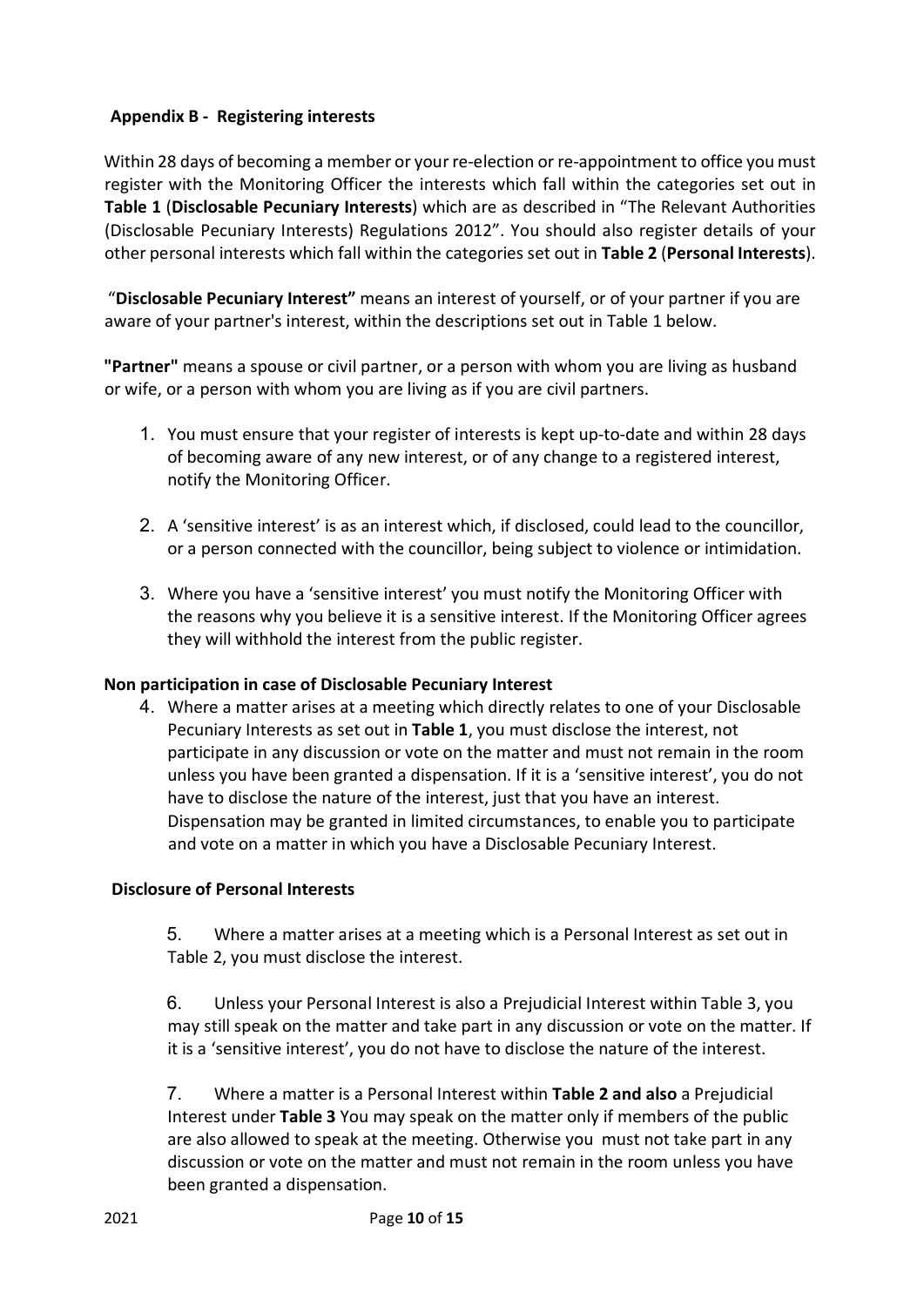## **Appendix B - Registering interests**

Within 28 days of becoming a member or your re-election or re-appointment to office you must register with the Monitoring Officer the interests which fall within the categories set out in **Table 1** (**Disclosable Pecuniary Interests**) which are as described in "The Relevant Authorities (Disclosable Pecuniary Interests) Regulations 2012". You should also register details of your other personal interests which fall within the categories set out in **Table 2** (**Personal Interests**).

"**Disclosable Pecuniary Interest"** means an interest of yourself, or of your partner if you are aware of your partner's interest, within the descriptions set out in Table 1 below.

**"Partner"** means a spouse or civil partner, or a person with whom you are living as husband or wife, or a person with whom you are living as if you are civil partners.

- 1. You must ensure that your register of interests is kept up-to-date and within 28 days of becoming aware of any new interest, or of any change to a registered interest, notify the Monitoring Officer.
- 2. A 'sensitive interest' is as an interest which, if disclosed, could lead to the councillor, or a person connected with the councillor, being subject to violence or intimidation.
- 3. Where you have a 'sensitive interest' you must notify the Monitoring Officer with the reasons why you believe it is a sensitive interest. If the Monitoring Officer agrees they will withhold the interest from the public register.

## **Non participation in case of Disclosable Pecuniary Interest**

4. Where a matter arises at a meeting which directly relates to one of your Disclosable Pecuniary Interests as set out in **Table 1**, you must disclose the interest, not participate in any discussion or vote on the matter and must not remain in the room unless you have been granted a dispensation. If it is a 'sensitive interest', you do not have to disclose the nature of the interest, just that you have an interest. Dispensation may be granted in limited circumstances, to enable you to participate and vote on a matter in which you have a Disclosable Pecuniary Interest.

## **Disclosure of Personal Interests**

5. Where a matter arises at a meeting which is a Personal Interest as set out in Table 2, you must disclose the interest.

6. Unless your Personal Interest is also a Prejudicial Interest within Table 3, you may still speak on the matter and take part in any discussion or vote on the matter. If it is a 'sensitive interest', you do not have to disclose the nature of the interest.

7. Where a matter is a Personal Interest within **Table 2 and also** a Prejudicial Interest under **Table 3** You may speak on the matter only if members of the public are also allowed to speak at the meeting. Otherwise you must not take part in any discussion or vote on the matter and must not remain in the room unless you have been granted a dispensation.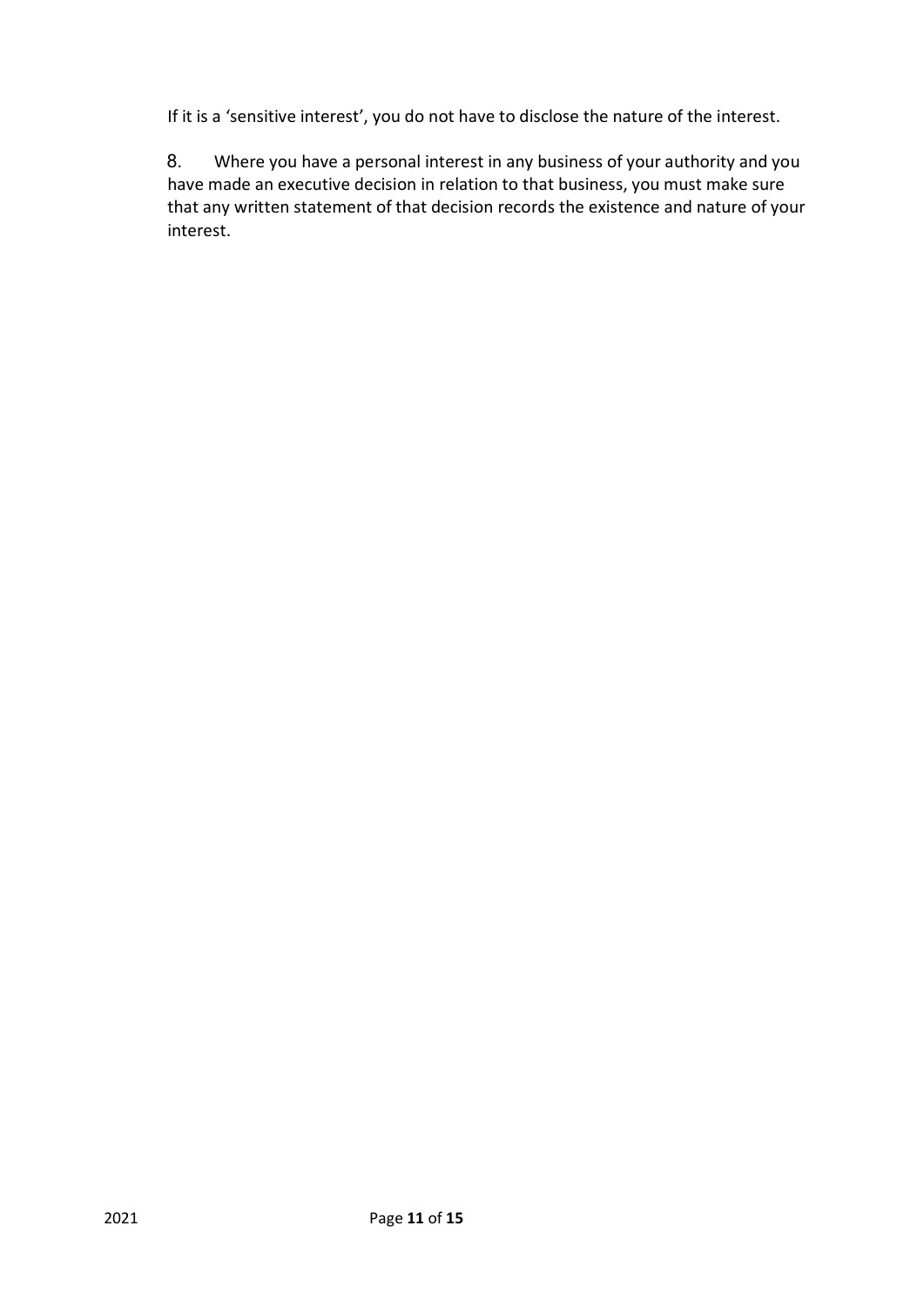If it is a 'sensitive interest', you do not have to disclose the nature of the interest.

8. Where you have a personal interest in any business of your authority and you have made an executive decision in relation to that business, you must make sure that any written statement of that decision records the existence and nature of your interest.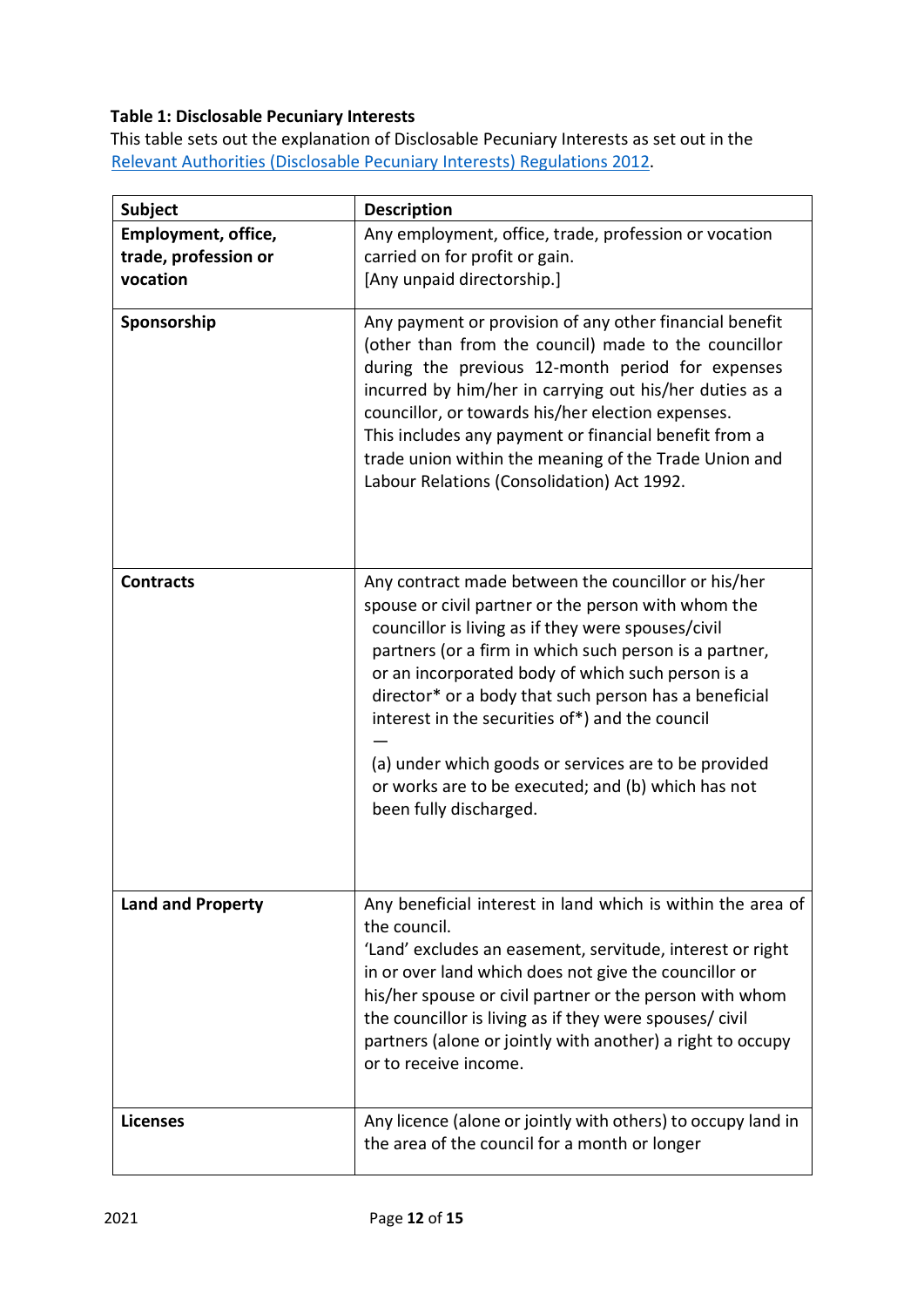# **Table 1: Disclosable Pecuniary Interests**

This table sets out the explanation of Disclosable Pecuniary Interests as set out in the [Relevant](https://www.legislation.gov.uk/uksi/2012/1464/made) [Authorities](https://www.legislation.gov.uk/uksi/2012/1464/made) [\(Disclosable](https://www.legislation.gov.uk/uksi/2012/1464/made) [Pecuniary](https://www.legislation.gov.uk/uksi/2012/1464/made) [Interests\) Regulations](https://www.legislation.gov.uk/uksi/2012/1464/made) [2012.](https://www.legislation.gov.uk/uksi/2012/1464/made)

| <b>Subject</b>                                                 | <b>Description</b>                                                                                                                                                                                                                                                                                                                                                                                                                                                                                                                  |
|----------------------------------------------------------------|-------------------------------------------------------------------------------------------------------------------------------------------------------------------------------------------------------------------------------------------------------------------------------------------------------------------------------------------------------------------------------------------------------------------------------------------------------------------------------------------------------------------------------------|
| <b>Employment, office,</b><br>trade, profession or<br>vocation | Any employment, office, trade, profession or vocation<br>carried on for profit or gain.<br>[Any unpaid directorship.]                                                                                                                                                                                                                                                                                                                                                                                                               |
| Sponsorship                                                    | Any payment or provision of any other financial benefit<br>(other than from the council) made to the councillor<br>during the previous 12-month period for expenses<br>incurred by him/her in carrying out his/her duties as a<br>councillor, or towards his/her election expenses.<br>This includes any payment or financial benefit from a<br>trade union within the meaning of the Trade Union and<br>Labour Relations (Consolidation) Act 1992.                                                                                 |
| <b>Contracts</b>                                               | Any contract made between the councillor or his/her<br>spouse or civil partner or the person with whom the<br>councillor is living as if they were spouses/civil<br>partners (or a firm in which such person is a partner,<br>or an incorporated body of which such person is a<br>director* or a body that such person has a beneficial<br>interest in the securities of*) and the council<br>(a) under which goods or services are to be provided<br>or works are to be executed; and (b) which has not<br>been fully discharged. |
| <b>Land and Property</b>                                       | Any beneficial interest in land which is within the area of<br>the council.<br>'Land' excludes an easement, servitude, interest or right<br>in or over land which does not give the councillor or<br>his/her spouse or civil partner or the person with whom<br>the councillor is living as if they were spouses/civil<br>partners (alone or jointly with another) a right to occupy<br>or to receive income.                                                                                                                       |
| <b>Licenses</b>                                                | Any licence (alone or jointly with others) to occupy land in<br>the area of the council for a month or longer                                                                                                                                                                                                                                                                                                                                                                                                                       |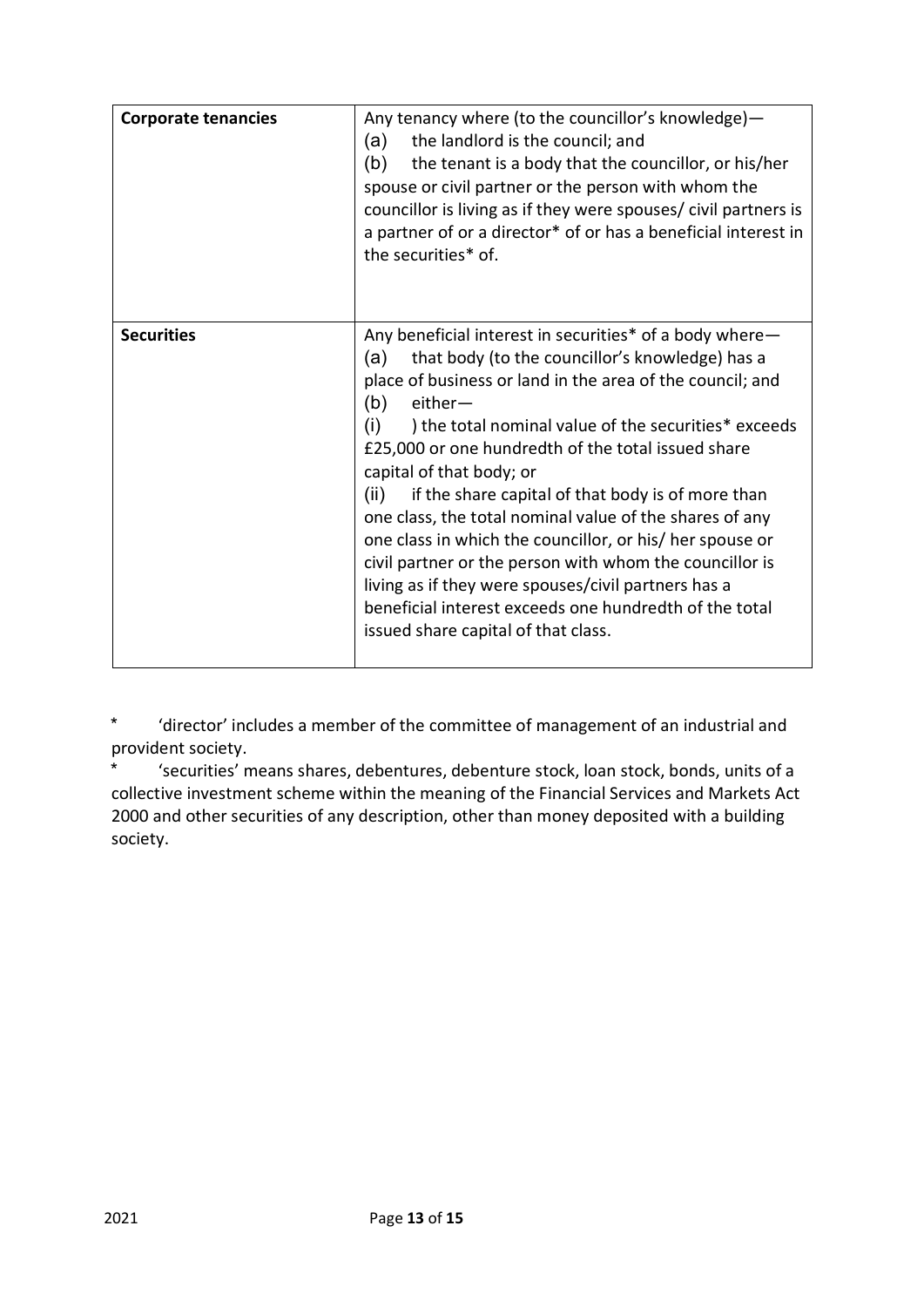| <b>Corporate tenancies</b> | Any tenancy where (to the councillor's knowledge)-<br>the landlord is the council; and<br>(a)<br>(b)<br>the tenant is a body that the councillor, or his/her<br>spouse or civil partner or the person with whom the<br>councillor is living as if they were spouses/ civil partners is<br>a partner of or a director* of or has a beneficial interest in<br>the securities* of.                                                                                                                                                                                                                                                                                                                                                                            |
|----------------------------|------------------------------------------------------------------------------------------------------------------------------------------------------------------------------------------------------------------------------------------------------------------------------------------------------------------------------------------------------------------------------------------------------------------------------------------------------------------------------------------------------------------------------------------------------------------------------------------------------------------------------------------------------------------------------------------------------------------------------------------------------------|
| <b>Securities</b>          | Any beneficial interest in securities* of a body where-<br>that body (to the councillor's knowledge) has a<br>(a)<br>place of business or land in the area of the council; and<br>(b)<br>$either-$<br>(i)<br>) the total nominal value of the securities* exceeds<br>£25,000 or one hundredth of the total issued share<br>capital of that body; or<br>if the share capital of that body is of more than<br>(ii)<br>one class, the total nominal value of the shares of any<br>one class in which the councillor, or his/ her spouse or<br>civil partner or the person with whom the councillor is<br>living as if they were spouses/civil partners has a<br>beneficial interest exceeds one hundredth of the total<br>issued share capital of that class. |

\* 'director' includes a member of the committee of management of an industrial and provident society.

\* 'securities' means shares, debentures, debenture stock, loan stock, bonds, units of a collective investment scheme within the meaning of the Financial Services and Markets Act 2000 and other securities of any description, other than money deposited with a building society.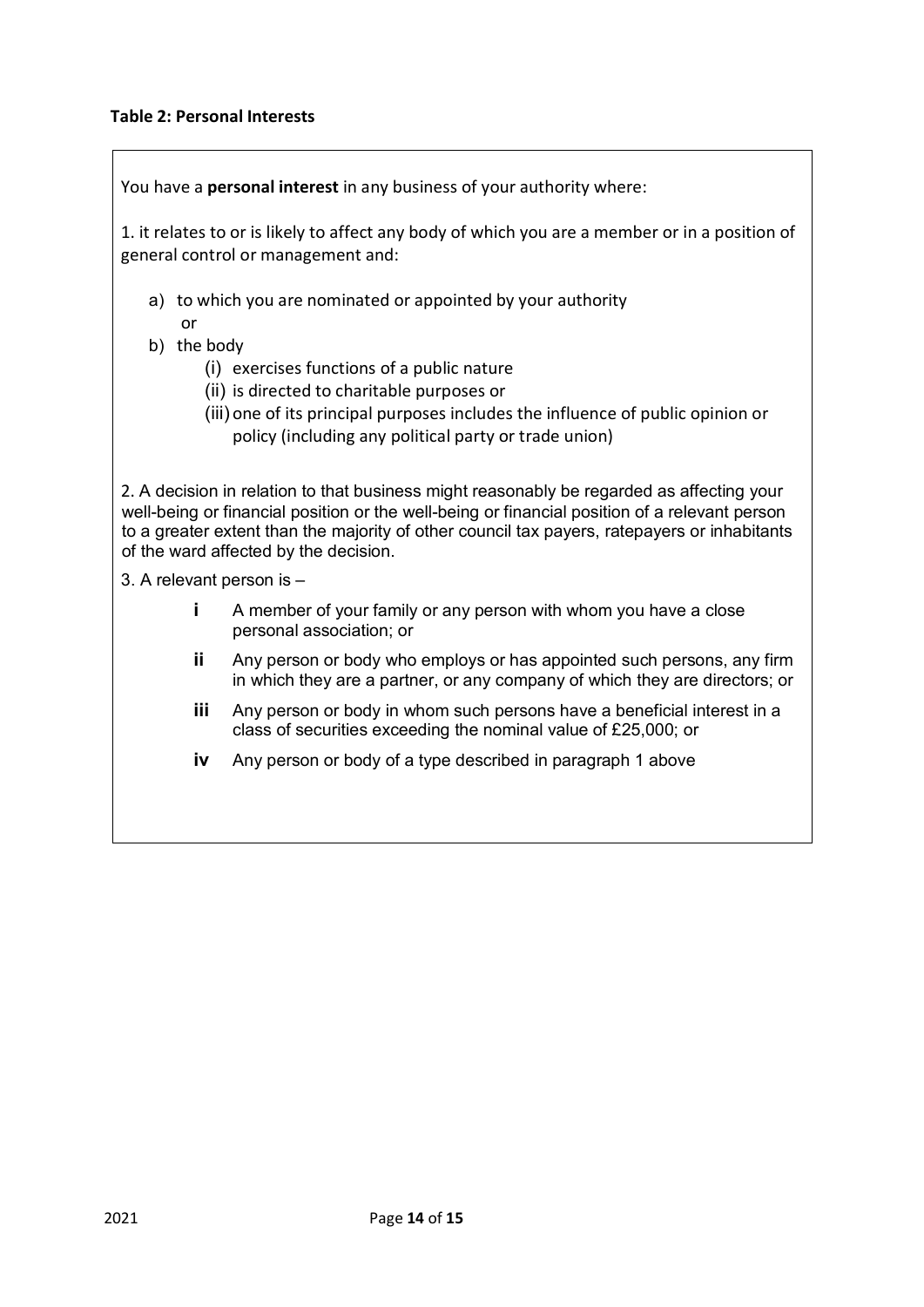## **Table 2: Personal Interests**

|                           | You have a personal interest in any business of your authority where:                                                                                                                                                                                                                                                               |
|---------------------------|-------------------------------------------------------------------------------------------------------------------------------------------------------------------------------------------------------------------------------------------------------------------------------------------------------------------------------------|
|                           | 1. it relates to or is likely to affect any body of which you are a member or in a position of<br>general control or management and:                                                                                                                                                                                                |
| or                        | a) to which you are nominated or appointed by your authority                                                                                                                                                                                                                                                                        |
| b) the body               |                                                                                                                                                                                                                                                                                                                                     |
|                           | (i) exercises functions of a public nature                                                                                                                                                                                                                                                                                          |
|                           | (ii) is directed to charitable purposes or                                                                                                                                                                                                                                                                                          |
|                           | (iii) one of its principal purposes includes the influence of public opinion or<br>policy (including any political party or trade union)                                                                                                                                                                                            |
|                           | 2. A decision in relation to that business might reasonably be regarded as affecting your<br>well-being or financial position or the well-being or financial position of a relevant person<br>to a greater extent than the majority of other council tax payers, ratepayers or inhabitants<br>of the ward affected by the decision. |
| 3. A relevant person is - |                                                                                                                                                                                                                                                                                                                                     |
| İ.                        | A member of your family or any person with whom you have a close<br>personal association; or                                                                                                                                                                                                                                        |
| ij.                       | Any person or body who employs or has appointed such persons, any firm<br>in which they are a partner, or any company of which they are directors; or                                                                                                                                                                               |
| iii.                      | Any person or body in whom such persons have a beneficial interest in a<br>class of securities exceeding the nominal value of £25,000; or                                                                                                                                                                                           |
| iv                        | Any person or body of a type described in paragraph 1 above                                                                                                                                                                                                                                                                         |
|                           |                                                                                                                                                                                                                                                                                                                                     |
|                           |                                                                                                                                                                                                                                                                                                                                     |
|                           |                                                                                                                                                                                                                                                                                                                                     |
|                           |                                                                                                                                                                                                                                                                                                                                     |